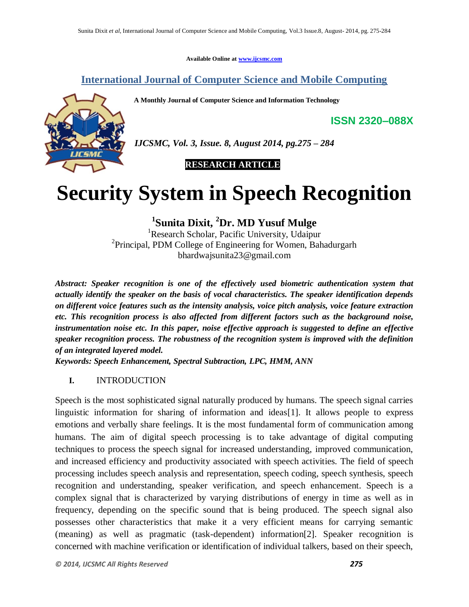**Available Online at www.ijcsmc.com**

# **International Journal of Computer Science and Mobile Computing**

**A Monthly Journal of Computer Science and Information Technology**



*IJCSMC, Vol. 3, Issue. 8, August 2014, pg.275 – 284*

 **RESEARCH ARTICLE**

# **Security System in Speech Recognition**

**1 Sunita Dixit, <sup>2</sup>Dr. MD Yusuf Mulge**

<sup>1</sup>Research Scholar, Pacific University, Udaipur <sup>2</sup> Principal, PDM College of Engineering for Women, Bahadurgarh bhardwajsunita23@gmail.com

*Abstract: Speaker recognition is one of the effectively used biometric authentication system that actually identify the speaker on the basis of vocal characteristics. The speaker identification depends on different voice features such as the intensity analysis, voice pitch analysis, voice feature extraction etc. This recognition process is also affected from different factors such as the background noise, instrumentation noise etc. In this paper, noise effective approach is suggested to define an effective speaker recognition process. The robustness of the recognition system is improved with the definition of an integrated layered model.*

*Keywords: Speech Enhancement, Spectral Subtraction, LPC, HMM, ANN*

## **I.** INTRODUCTION

Speech is the most sophisticated signal naturally produced by humans. The speech signal carries linguistic information for sharing of information and ideas[1]. It allows people to express emotions and verbally share feelings. It is the most fundamental form of communication among humans. The aim of digital speech processing is to take advantage of digital computing techniques to process the speech signal for increased understanding, improved communication, and increased efficiency and productivity associated with speech activities. The field of speech processing includes speech analysis and representation, speech coding, speech synthesis, speech recognition and understanding, speaker verification, and speech enhancement. Speech is a complex signal that is characterized by varying distributions of energy in time as well as in frequency, depending on the specific sound that is being produced. The speech signal also possesses other characteristics that make it a very efficient means for carrying semantic (meaning) as well as pragmatic (task-dependent) information[2]. Speaker recognition is concerned with machine verification or identification of individual talkers, based on their speech,

**ISSN 2320–088X**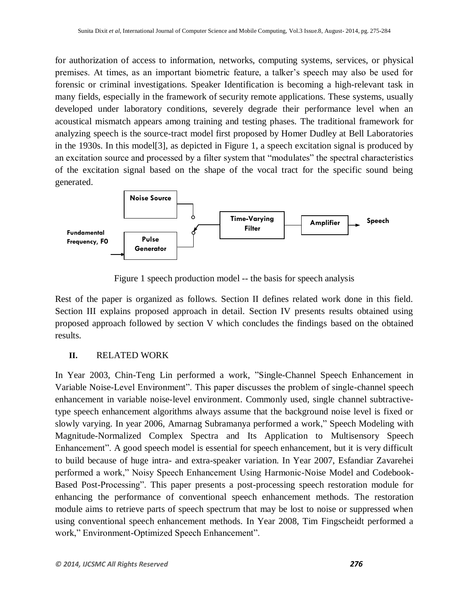for authorization of access to information, networks, computing systems, services, or physical premises. At times, as an important biometric feature, a talker's speech may also be used for forensic or criminal investigations. Speaker Identification is becoming a high-relevant task in many fields, especially in the framework of security remote applications. These systems, usually developed under laboratory conditions, severely degrade their performance level when an acoustical mismatch appears among training and testing phases. The traditional framework for analyzing speech is the source-tract model first proposed by Homer Dudley at Bell Laboratories in the 1930s. In this model[3], as depicted in Figure 1, a speech excitation signal is produced by an excitation source and processed by a filter system that "modulates" the spectral characteristics of the excitation signal based on the shape of the vocal tract for the specific sound being generated.



Figure 1 speech production model -- the basis for speech analysis

Rest of the paper is organized as follows. Section II defines related work done in this field. Section III explains proposed approach in detail. Section IV presents results obtained using proposed approach followed by section V which concludes the findings based on the obtained results.

## **II.** RELATED WORK

In Year 2003, Chin-Teng Lin performed a work, "Single-Channel Speech Enhancement in Variable Noise-Level Environment". This paper discusses the problem of single-channel speech enhancement in variable noise-level environment. Commonly used, single channel subtractivetype speech enhancement algorithms always assume that the background noise level is fixed or slowly varying. In year 2006, Amarnag Subramanya performed a work," Speech Modeling with Magnitude-Normalized Complex Spectra and Its Application to Multisensory Speech Enhancement". A good speech model is essential for speech enhancement, but it is very difficult to build because of huge intra- and extra-speaker variation. In Year 2007, Esfandiar Zavarehei performed a work," Noisy Speech Enhancement Using Harmonic-Noise Model and Codebook-Based Post-Processing". This paper presents a post-processing speech restoration module for enhancing the performance of conventional speech enhancement methods. The restoration module aims to retrieve parts of speech spectrum that may be lost to noise or suppressed when using conventional speech enhancement methods. In Year 2008, Tim Fingscheidt performed a work," Environment-Optimized Speech Enhancement".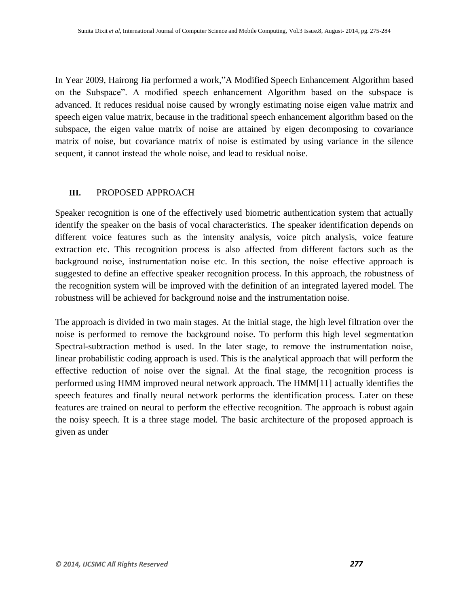In Year 2009, Hairong Jia performed a work,"A Modified Speech Enhancement Algorithm based on the Subspace". A modified speech enhancement Algorithm based on the subspace is advanced. It reduces residual noise caused by wrongly estimating noise eigen value matrix and speech eigen value matrix, because in the traditional speech enhancement algorithm based on the subspace, the eigen value matrix of noise are attained by eigen decomposing to covariance matrix of noise, but covariance matrix of noise is estimated by using variance in the silence sequent, it cannot instead the whole noise, and lead to residual noise.

## **III.** PROPOSED APPROACH

Speaker recognition is one of the effectively used biometric authentication system that actually identify the speaker on the basis of vocal characteristics. The speaker identification depends on different voice features such as the intensity analysis, voice pitch analysis, voice feature extraction etc. This recognition process is also affected from different factors such as the background noise, instrumentation noise etc. In this section, the noise effective approach is suggested to define an effective speaker recognition process. In this approach, the robustness of the recognition system will be improved with the definition of an integrated layered model. The robustness will be achieved for background noise and the instrumentation noise.

The approach is divided in two main stages. At the initial stage, the high level filtration over the noise is performed to remove the background noise. To perform this high level segmentation Spectral-subtraction method is used. In the later stage, to remove the instrumentation noise, linear probabilistic coding approach is used. This is the analytical approach that will perform the effective reduction of noise over the signal. At the final stage, the recognition process is performed using HMM improved neural network approach. The HMM[11] actually identifies the speech features and finally neural network performs the identification process. Later on these features are trained on neural to perform the effective recognition. The approach is robust again the noisy speech. It is a three stage model. The basic architecture of the proposed approach is given as under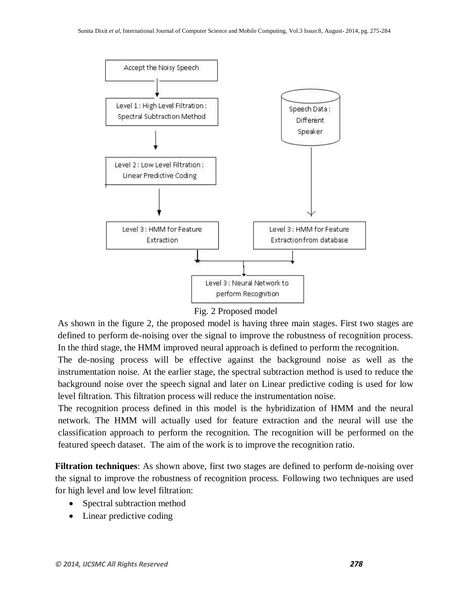

Fig. 2 Proposed model

As shown in the figure 2, the proposed model is having three main stages. First two stages are defined to perform de-noising over the signal to improve the robustness of recognition process. In the third stage, the HMM improved neural approach is defined to perform the recognition.

The de-nosing process will be effective against the background noise as well as the instrumentation noise. At the earlier stage, the spectral subtraction method is used to reduce the background noise over the speech signal and later on Linear predictive coding is used for low level filtration. This filtration process will reduce the instrumentation noise.

The recognition process defined in this model is the hybridization of HMM and the neural network. The HMM will actually used for feature extraction and the neural will use the classification approach to perform the recognition. The recognition will be performed on the featured speech dataset. The aim of the work is to improve the recognition ratio.

**Filtration techniques**: As shown above, first two stages are defined to perform de-noising over the signal to improve the robustness of recognition process. Following two techniques are used for high level and low level filtration:

- Spectral subtraction method
- Linear predictive coding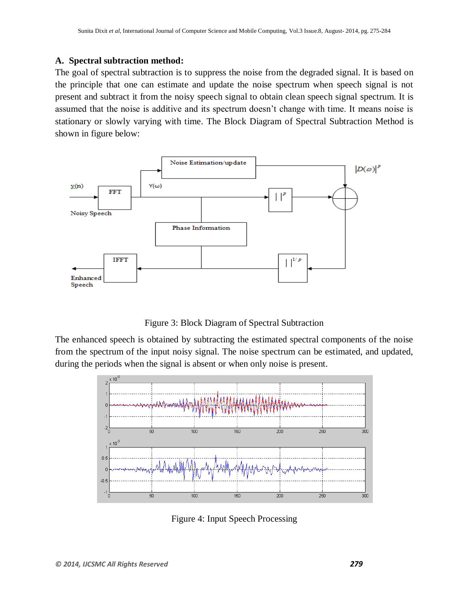#### **A. Spectral subtraction method:**

The goal of spectral subtraction is to suppress the noise from the degraded signal. It is based on the principle that one can estimate and update the noise spectrum when speech signal is not present and subtract it from the noisy speech signal to obtain clean speech signal spectrum. It is assumed that the noise is additive and its spectrum doesn't change with time. It means noise is stationary or slowly varying with time. The Block Diagram of Spectral Subtraction Method is shown in figure below:



Figure 3: Block Diagram of Spectral Subtraction

The enhanced speech is obtained by subtracting the estimated spectral components of the noise from the spectrum of the input noisy signal. The noise spectrum can be estimated, and updated, during the periods when the signal is absent or when only noise is present.



Figure 4: Input Speech Processing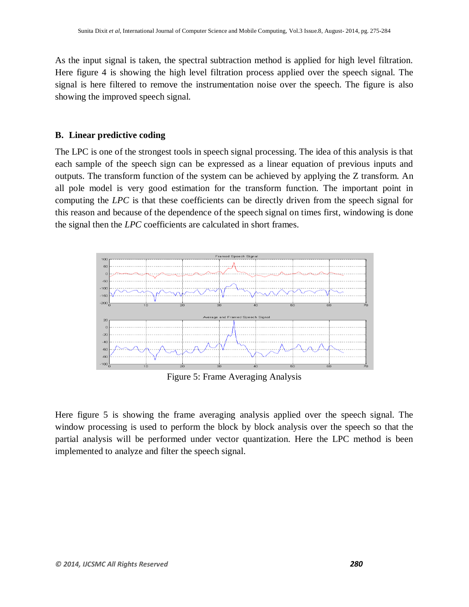As the input signal is taken, the spectral subtraction method is applied for high level filtration. Here figure 4 is showing the high level filtration process applied over the speech signal. The signal is here filtered to remove the instrumentation noise over the speech. The figure is also showing the improved speech signal.

#### **B. Linear predictive coding**

The LPC is one of the strongest tools in speech signal processing. The idea of this analysis is that each sample of the speech sign can be expressed as a linear equation of previous inputs and outputs. The transform function of the system can be achieved by applying the Z transform. An all pole model is very good estimation for the transform function. The important point in computing the *LPC* is that these coefficients can be directly driven from the speech signal for this reason and because of the dependence of the speech signal on times first, windowing is done the signal then the *LPC* coefficients are calculated in short frames.



Figure 5: Frame Averaging Analysis

Here figure 5 is showing the frame averaging analysis applied over the speech signal. The window processing is used to perform the block by block analysis over the speech so that the partial analysis will be performed under vector quantization. Here the LPC method is been implemented to analyze and filter the speech signal.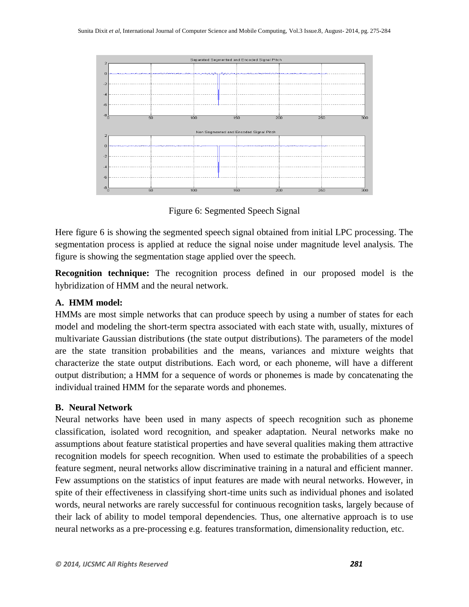

Figure 6: Segmented Speech Signal

Here figure 6 is showing the segmented speech signal obtained from initial LPC processing. The segmentation process is applied at reduce the signal noise under magnitude level analysis. The figure is showing the segmentation stage applied over the speech.

**Recognition technique:** The recognition process defined in our proposed model is the hybridization of HMM and the neural network.

## **A. HMM model:**

HMMs are most simple networks that can produce speech by using a number of states for each model and modeling the short-term spectra associated with each state with, usually, mixtures of multivariate Gaussian distributions (the state output distributions). The parameters of the model are the state transition probabilities and the means, variances and mixture weights that characterize the state output distributions. Each word, or each phoneme, will have a different output distribution; a HMM for a sequence of words or phonemes is made by concatenating the individual trained HMM for the separate words and phonemes.

# **B. Neural Network**

Neural networks have been used in many aspects of speech recognition such as phoneme classification, isolated word recognition, and speaker adaptation. Neural networks make no assumptions about feature statistical properties and have several qualities making them attractive recognition models for speech recognition. When used to estimate the probabilities of a speech feature segment, neural networks allow discriminative training in a natural and efficient manner. Few assumptions on the statistics of input features are made with neural networks. However, in spite of their effectiveness in classifying short-time units such as individual phones and isolated words, neural networks are rarely successful for continuous recognition tasks, largely because of their lack of ability to model temporal dependencies. Thus, one alternative approach is to use neural networks as a pre-processing e.g. features transformation, dimensionality reduction, etc.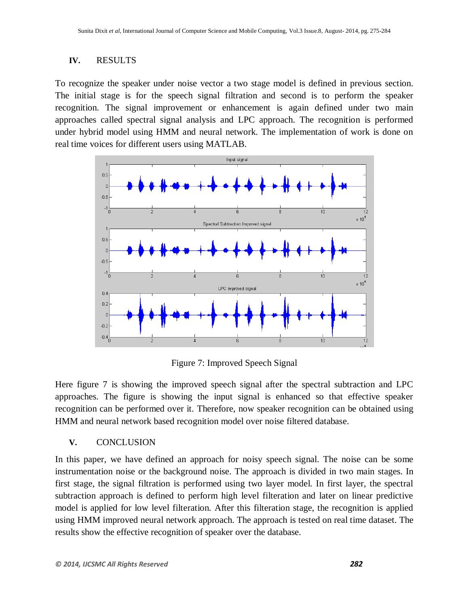### **IV.** RESULTS

To recognize the speaker under noise vector a two stage model is defined in previous section. The initial stage is for the speech signal filtration and second is to perform the speaker recognition. The signal improvement or enhancement is again defined under two main approaches called spectral signal analysis and LPC approach. The recognition is performed under hybrid model using HMM and neural network. The implementation of work is done on real time voices for different users using MATLAB.



Figure 7: Improved Speech Signal

Here figure 7 is showing the improved speech signal after the spectral subtraction and LPC approaches. The figure is showing the input signal is enhanced so that effective speaker recognition can be performed over it. Therefore, now speaker recognition can be obtained using HMM and neural network based recognition model over noise filtered database.

## **V.** CONCLUSION

In this paper, we have defined an approach for noisy speech signal. The noise can be some instrumentation noise or the background noise. The approach is divided in two main stages. In first stage, the signal filtration is performed using two layer model. In first layer, the spectral subtraction approach is defined to perform high level filteration and later on linear predictive model is applied for low level filteration. After this filteration stage, the recognition is applied using HMM improved neural network approach. The approach is tested on real time dataset. The results show the effective recognition of speaker over the database.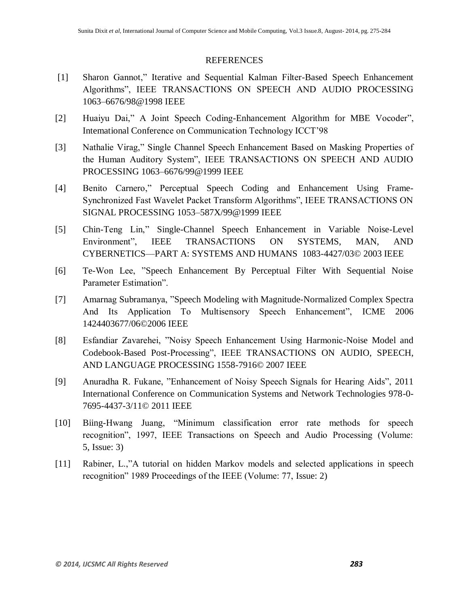#### **REFERENCES**

- [1] Sharon Gannot," Iterative and Sequential Kalman Filter-Based Speech Enhancement Algorithms", IEEE TRANSACTIONS ON SPEECH AND AUDIO PROCESSING 1063–6676/98@1998 IEEE
- [2] Huaiyu Dai," A Joint Speech Coding-Enhancement Algorithm for MBE Vocoder", Intemational Conference on Communication Technology ICCT'98
- [3] Nathalie Virag," Single Channel Speech Enhancement Based on Masking Properties of the Human Auditory System", IEEE TRANSACTIONS ON SPEECH AND AUDIO PROCESSING 1063–6676/99@1999 IEEE
- [4] Benito Carnero," Perceptual Speech Coding and Enhancement Using Frame-Synchronized Fast Wavelet Packet Transform Algorithms", IEEE TRANSACTIONS ON SIGNAL PROCESSING 1053–587X/99@1999 IEEE
- [5] Chin-Teng Lin," Single-Channel Speech Enhancement in Variable Noise-Level Environment", IEEE TRANSACTIONS ON SYSTEMS, MAN, AND CYBERNETICS—PART A: SYSTEMS AND HUMANS 1083-4427/03© 2003 IEEE
- [6] Te-Won Lee, "Speech Enhancement By Perceptual Filter With Sequential Noise Parameter Estimation".
- [7] Amarnag Subramanya, "Speech Modeling with Magnitude-Normalized Complex Spectra And Its Application To Multisensory Speech Enhancement", ICME 2006 1424403677/06©2006 IEEE
- [8] Esfandiar Zavarehei, "Noisy Speech Enhancement Using Harmonic-Noise Model and Codebook-Based Post-Processing", IEEE TRANSACTIONS ON AUDIO, SPEECH, AND LANGUAGE PROCESSING 1558-7916© 2007 IEEE
- [9] Anuradha R. Fukane, "Enhancement of Noisy Speech Signals for Hearing Aids", 2011 International Conference on Communication Systems and Network Technologies 978-0- 7695-4437-3/11© 2011 IEEE
- [10] Biing-Hwang Juang, "Minimum classification error rate methods for speech recognition", 1997, IEEE Transactions on Speech and Audio Processing (Volume: 5, Issue: 3)
- [11] Rabiner, L.,"A tutorial on hidden Markov models and selected applications in speech recognition" 1989 Proceedings of the IEEE (Volume: 77, Issue: 2)